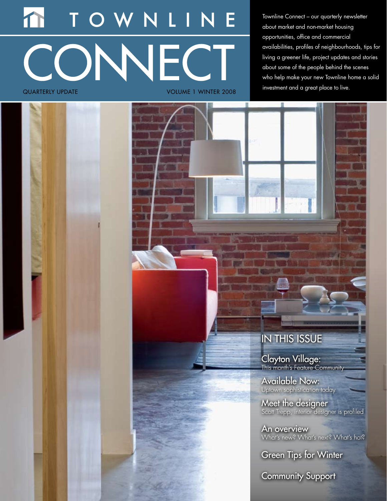# **JNNECT** quarterly update Volume 1 WINTER 2008

Townline Connect – our quarterly newsletter about market and non-market housing opportunities, office and commercial availabilities, profiles of neighbourhoods, tips for living a greener life, project updates and stories about some of the people behind the scenes who help make your new Townline home a solid investment and a great place to live.



Clayton Village: This month's Feature Community

Available Now: Uptown sophistication today

Meet the designer Scott Trepp, interior designer is profiled

An overview What's new? What's next? What's hot?

Green Tips for Winter

Community Support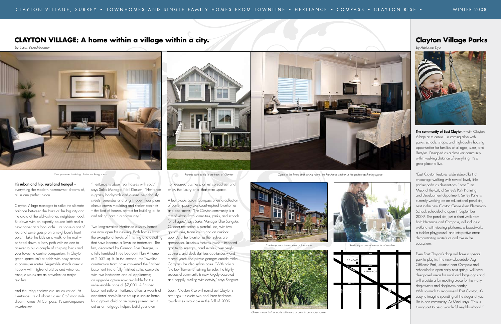#### It's urban and hip, rural and tranquil –

everything the modern homeowner dreams of, all in one perfect place.

Clayton Village manages to strike the ultimate balance between the buzz of the big city and the draw of the old-fashioned neighbourhood. Sit down with an expertly poured latté and a newspaper at a local café – or share a pot of tea and some gossip on a neighbour's front porch. Take the kids on a walk to the mall – or head down a leafy path with no one to answer to but a couple of chirping birds and your favourite canine companion. In Clayton, green space isn't at odds with easy access to commuter routes. Vegetable stands coexist happily with high-end bistros and wineries. Antique stores are as prevalent as major retailers.

And the living choices are just as varied. At Heritance, it's all about classic Craftsman-style dream homes. At Compass, it's contemporary townhouses.

"Heritance is about real houses with soul," says Sales Manager Neil Klassen. "Heritance is grassy backyards and quaint, neighbourly streets; verandas and bright, open floor plans; classic crown moulding and shaker cabinets – the kind of houses perfect for building a life and taking part in a community."

Two long-awaited Heritance display homes are now open for viewing. Both homes boast the exceptional levels of finishing and detailing that have become a Townline trademark. The first, decorated by Gannon Ross Designs, is a fully furnished three bedroom Plan A home at 2,652 sq. ft. In the second, the Townline construction team have converted the finished basement into a fully finished suite, complete with two bedrooms and all appliances; an upgrade option now available for the unbelievable price of \$7,000. A finished basement suite at Heritance offers a wealth of additional possibilities: set up a secure home for a grown child or an aging parent; rent it

The community of East Clayton – with Clayton Village at its centre – is coming alive with parks, schools, shops, and high-quality housing opportunities for families of all ages, sizes, and lifestyles. Designed as a close-knit community within walking distance of everything, it's a great place to live.

out as a mortgage helper; build your own

home-based business; or just spread out and enjoy the luxury of all that extra space.

A few blocks away, Compass offers a collection of contemporary westcoast-inspired townhomes and apartments. "The Clayton community is a mix of vibrant local amenities, parks, and schools for all ages," says Sales Manager Elise Sangster. Outdoor recreation is plentiful, too, with two golf courses, tennis courts and an outdoor pool. And the townhomes themselves are spectacular. Luxurious features inside – imported granite countertops, hand-set tiles, over-height cabinets, and sleek stainless appliances – and fenced yards and private garages outside make Compass the ideal urban oasis. "With only a few townhomes remaining for sale, the highly successful community is now largely occupied and happily bustling with activity," says Sangster.

Soon, Clayton Rise will round out Clayton's offerings – classic two and three-bedroom townhomes available in the Fall of 2009.

### **Clayton Village Parks**

*by Adrienne Dyer*



### **CLAYTON VILLAGE: A home within a village within a city.**

*by Susan Kerschbaumer*



"East Clayton features wide sidewalks that encourage walking with several lovely little pocket parks as destinations," says Tiina Mack of the City of Surrey's Park Planning and Development department. Surrey Parks is currently working on an educational pond site, next to the new Clayton Centre Area Elementary School, scheduled to open in September 2009. The pond site, just a short walk from both Heritance and Compass, will include a wetland with viewing platforms, a boardwalk, a toddler playground, and interpretive areas demonstrating water's crucial role in the ecosystem.

Even East Clayton's dogs will have a special park to play in. The new Cloverdale Dog Off-Leash Park, situated near Compass and scheduled to open early next spring, will have designated areas for small and large dogs and will provide a fun meeting place for the many dog-owners and dog-lovers nearby. With so much to recommend East Clayton, it's easy to imagine spending all the stages of your life in one community. As Mack says, "This is turning out to be a wonderful neighbourhood."

**64 AVE**

**FRASER HWY**



COMPASS

**184 ST**

**188 ST**



*The open and inviteing Heritance living room. Homes with sould in the heart of Clayton Open to the living and dining room, the Heritance kitchen is the perfect gathering space.*





*Green space isn't at odds with easy access to commuter routes.*

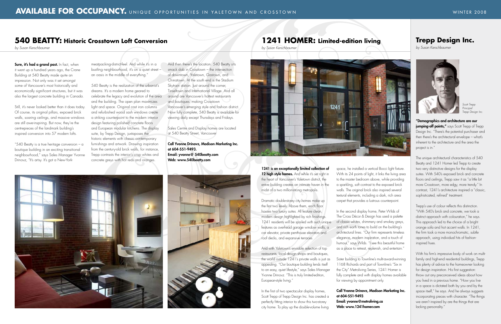### 1241 is an exceptionally limited collection of

12 high style homes. And while it's set right in the heart of Vancouver's Yaletown district, the entire building creates an intimate haven in the midst of a two million-strong metropolis.

Dramatic double-storey city homes make up the first two levels. Above them, each floor houses two luxury suites. All feature clean, modern design highlighted by rich finishings. 1241 residents will be spoiled with such unique features as overhead garage window walls, a car elevator, private penthouse elevators and roof decks, and expansive terraces.

And with Yaletown's enviable selection of top restaurants, local design shops and boutiques, the world outside 1241's private walls is just as appealing. "Our boutique building lends itself to an easy, quiet lifestyle," says Sales Manager Yvonne Drinovz. "This is truly limited-edition, European-style living."

In the first of two spectacular display homes, Scott Trepp of Trepp Design Inc. has created a perfectly fitting interior to show this two-storey city home. To play up the double-volume living

Sure, it's had a grand past. In fact, when it went up a hundred years ago, the Crane Building at 540 Beatty made quite an impression. Not only was it set amongst some of Vancouver's most historically and economically significant structures, but it was also the largest concrete building in Canada.

> space, he installed a vertical Bocci light fixture. With its 24 points of light, it links the living area to the master bedroom above, while providing a sparkling, soft contrast to the exposed brick walls. The original brick also inspired several textural elements, including a dark, rich area carpet that provides a lustrous counterpoint.

"540 Beatty is a true heritage conversion  $-$  a boutique building in an exciting transitional neighbourhood," says Sales Manager Yvonne Drinovz, "It's artsy. It's got a New-York-

> In the second display home, Peter Wilds of The Cross Décor & Design has used a palette of classic whites, shimmery and smokey greys, and rich earth tones to build on the building's architectural lines. "Our firm represents timeless elegance, modern inspiration, and a touch of humour," says Wilds. "I see this beautiful home as a place to retreat, replenish, and entertain."

Sister building to Townline's multi-award-winning 1168 Richards and part of Townline's "Six in the City" Metroliving Series, 1241 Homer is fully complete and with display homes available for viewing by appointment only.

#### Call Yvonne Drinovz, Madison Marketing Inc.

at 604-551-9493. Email: yvonne@metroliving.ca Web: www.1241homer.com

Still, it's never looked better than it does today. Of course, its original pillars, exposed brick walls, soaring ceilings, and massive windows are still awe-inspiring. But now, they're the centrepieces of the landmark building's inspired conversion into 57 modern lofts.

meatpacking-district-feel. And while it's in a bustling neighbourhood, it's on a quiet street – an oasis in the middle of everything."

540 Beatty is the realization of the urbanist's dreams. It's a modern home geared to celebrate the legacy and evolution of the area and the building. The open plan maximizes light and space. Original cast iron columns and refurbished wood sash windows create a striking counterpoint to the modern interior design featuring polished concrete floors and European modular kitchens. The display suite, by Trepp Design, juxtaposes the historic elements with classic contemporary furnishings and artwork. Drawing inspiration from the century-old brick walls, for instance, Trepp contrasts the interior's crisp whites and concrete greys with hot reds and oranges.

And then there's the location. 540 Beatty sits smack dab in Crosstown – the intersection of downtown, Yaletown, Gastown, and Chinatown. At the south end is the Stadium Skytrain station. Just around the corner, Tinseltown and International Village. And all around are Vancouver's hottest restaurants and boutiques, making Crosstown Vancouver's emerging style and fashion district. Now fully complete, 540 Beatty is available for viewing daily except Thursdays and Fridays.

Sales Centre and Display homes are located at 540 Beatty Street, Vancouver

Call Yvonne Drinovz, Madison Marketing Inc. at 604-551-9493. Email: yvonne@ 540beatty.com Web: www.540beatty.com





### **1241 HOMER: Limited-edition living**

### **Trepp Design Inc.**

*by Susan Kerschbaumer*

*by Susan Kerschbaumer*



### **540 BEATTY: Historic Crosstown Loft Conversion**

*by Susan Kerschbaumer*

"Demographics and architecture are our jumping-off points," says Scott Trepp of Trepp Design Inc. "There's the potential purchaser and then there's the architectural envelope – what's inherent to the architecture and the area the project is in."

The unique architectural characteristics of 540 Beatty and 1241 Homer led Trepp to create two very distinctive designs for the display suites. With 540's exposed brick and concrete floors and ceilings, Trepp saw it as "a little bit more Crosstown, more edgy, more trendy." In contrast, 1241's architecture inspired a "classic, sophisticated, refined" treatment.

Trepp's use of colour reflects this distinction. "With 540's brick and concrete, we took a distinct approach with colouration," he says. This approach led to the choice of a bright orange sofa and hot accent walls. In 1241, the firm took a more monochromatic, subtle approach, using individual hits of fashioninspired hues.

With his firm's impressive body of work on multifamily and high-end residential buildings, Trepp has plenty of advice to the homeowner looking for design inspiration. His first suggestion: throw out any preconceived ideas about how you lived in a previous home. "How you live in a space is dictated both by you and by the space itself," he says. And he always suggests incorporating pieces with character. "The things we aren't inspired by are the things that are lacking personality."



*Scott Trepp Principal Trepp Design Inc.*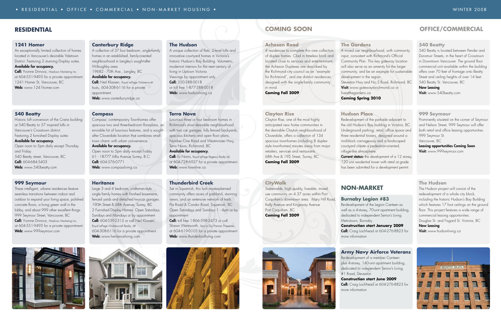#### **1241 Homer**

An exceptionally limited collection of homes located in Vancouver's desirable Yaletown District. Featuring 2 stunning Display suites.

#### Available for occupancy.

**Call:** Yvonne Drinovz, Madison Marketing Inc. at 604-551-9493 for a private appointment. 1241 Homer St, Vancouver, BC Web: www.1241homer.com

Open noon to 5pm daily except Thursday and Friday 540 Beatty street, Vancouver, BC Call: 604-684-5403 Web: www.540beatty.com

#### **540 Beatty**

These intelligent, urbane residences feature seamless transitions between indoor and outdoor to expand your living space, polished concrete floors, a living green wall in the lobby, and about 999 other excellent things. 999 Seymour Street, Vancouver, BC **Call:** Yvonne Drinovz, Madison Marketing Inc. at 604-551-9493 for a private appointment. Web: www.999seymour.com

Historic loft conversion of the Crane building at 540 Beatty to 57 inspired lofts in Vancouver's Crosstown district. Featuring 2 furnished Display suites

#### Available for occupancy.

#### **999 Seymour**

Open noon to 5pm daily except Friday 61 - 18777 68a Avenue Surrey, B.C. Call: 604-576-0771 Web: www.compassliving.ca

Large 3 and 4 bedroom, craftsman-style, single family homes with finished basements, fenced yards and detached two-car garages. 190th Street & 68th Avenue, Surrey, BC 2 Furnished Display Homes. Open Saturdays, Sundays and Mondays or by appointment Call: 604-539-2313 or call Neil Klassen, Royal LePage Wolstencroft Realty, at 604-308-6116 for a private appointment. Web: www.heritanceliving.com

#### **Canterbury Ridge**

A unique collection of flats, 2-level lofts and innovative courtyard homes in Victoria's historic Hudson's Bay Building. Volumetric, modernist interiors for the next century of living in Uptown Victoria. Viewings by appointment only. Call: 250-388-0018 or toll free 1-877-388-0018 Web: www.hudsonliving.ca

A collection of 37 four bedroom, single-family homes in an established, family-oriented neighbourhood in Langley's sought-after Willoughby area.

19682 - 70th Ave., Langley, BC

### Available for occupancy.

Call: Neil Klassen, Royal LePage Wolstencroft Realty, 604-308-6116 for a private appointment. Web: www.canterburyridge.ca

#### **Compass**

Compass' contemporary Townhomes offer spacious two and three-bedroom floorplans, an enviable list of luxurious features, and a soughtafter Cloverdale location that combines small town charm with urban convenience.

#### Available for occupancy.

#### **Heritance**

#### **The Hudson**

#### **Terra Nova**

**Current status:** the development of a 12 storey, 120 unit residential tower with retail at grade has been submitted for a development permit.

Re-development of the Legion Canteen as well as a 4-storey, 70-unit apartment building, dedicated to independent Senior's Living. Metrotown, Burnaby **Construction start January 2009** Call: Craig Lochhead at 604-276-8823 for

Luxurious three or four bedroom homes in Richmond's most desirable neighbourhood with two car garages, fully fenced backyards, spacious kitchens and open floor plans. Number One Road and Westminster Hwy, Terra Nova, Richmond, BC

#### Available for occupancy.

Call: Ev Norris, Royal LePage Regency Realty Ltd. at 604-728-6927 for a private appointment. Web: www.townline.ca

#### **Thunderbird Creek**

Set in Squamish, this lush masterplanned community offers acres of parkland, stunning views, and an extensive network of trails. Pia Road & Condor Road, Squamish, BC Open Saturdays and Sundays 1 - 4pm or by appointment

**Call:** toll free 1-866-598-2473 or call Shawn Wentworth, Sea to Sky Premier Properties, at 604-619-0103 for a private appointment Web: www.thunderbirdliving.com



#### **Acheson Road**

4 residences to complete this rare collection of duplex homes. Clad in timeless brick and located close to services and entertainment, the Acheson Duplexes are described by the Richmond city council as an "example for Richmond", and are distinct residences designed with the single-family community in mind.

**Coming Fall 2009**

### **Clayton Rise**

Clayton Rise, one of the most highly anticipated new home communities in the desirable Clayton neighbourhood of Cloverdale, offers a collection of 134 spacious townhomes (including 8 duplexstyle townhomes) minutes away from major retailers, services and restaurants. 68th Ave & 195 Street, Surrey, BC **Coming Fall 2009**

#### **CityWalk**

Sustainable, high quality, liveable, mixeduse community on 4.37 acres within Port Coquitlam's downtown area. Mary Hill Road, Kelly Avenue and Kingsway Avenue Port Coquitlam, BC **Coming Fall 2009**



### **The Gardens**

A mixed use neighbourhood, with community input, consistent with Richmond's Official Community Plan. This key gateway location will also serve as an amenity for the larger community, and be an example for sustainable development in the region. Steveston Hwy and No.5 Road, Richmond, BC Visit: www.gatewaytorichmond.ca or liveatthegardens.ca **Coming Spring 2010**

#### **Hudson Place**

Redevelopment of the parkade adjacent to the old Hudson's Bay building in Victoria, BC. Underground parking, retail, office space and three residential towers, designed around a mid-block carriageway and a landscaped courtyard create a pedestrian-oriented, village-like atmosphere.

### **non-market**

#### **Burnaby Legion #83**

## more information



**Army Navy Airforce Veterans** Re-development of a member Canteen plus 4-storey, 140-unit apartment building, dedicated to independent Senior's Living. #1 Road, Steveston **Construction start June 2009** Call: Craig Lochhead at 604-276-8823 for more information

### **RESIDENTIAL COMING SOON OFFICE/COMMERCIAL**

#### **540 Beatty**

540 Beatty is located between Pender and Dunsmuir Streets, in the heart of Crosstown in Downtown Vancouver. The ground floor commercial unit available within the building offers over 70 feet of frontage onto Beatty Street and ceiling heights of over 14 feet. 540 Beatty St. Vancouver, BC

#### Now Leasing

Visit: www.540beatty.com

#### **999 Seymour**

Prominently situated on the corner of Seymour and Nelson Street, 999 Seymour will offer both retail and office leasing opportunities. 999 Seymour St.

Vancouver, BC

Leasing opportunities Coming Soon Visit: www.999seymour.com

#### **The Hudson**

The Hudson project will consist of the redevelopment of a whole city block, including the historic Hudson's Bay Building which features 17 foot ceilings on the ground floor. This project features a wide range of commercial leasing opportunities. Douglas St. and Fisgard St. Victoria, BC

#### Now Leasing

Visit: www.hudsonliving.ca